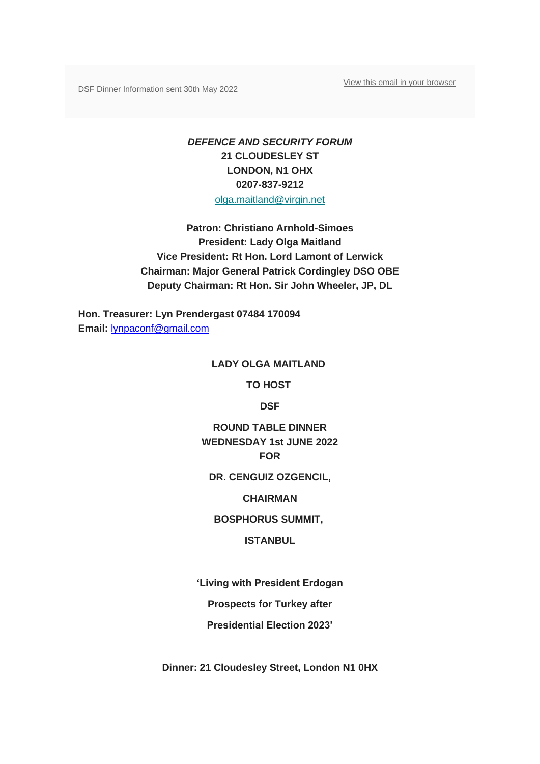[View this email in your browser](https://mailchi.mp/683553fd7f28/from-lady-olga-maitland-final-reminder-dinner-invite-on-1st-june-2022?e=8f55224e9b)

DSF Dinner Information sent 30th May 2022

# *DEFENCE AND SECURITY FORUM* **21 CLOUDESLEY ST LONDON, N1 OHX 0207-837-9212** [olga.maitland@virgin.net](mailto:olga.maitland@virgin.net)

**Patron: Christiano Arnhold-Simoes President: Lady Olga Maitland Vice President: Rt Hon. Lord Lamont of Lerwick Chairman: Major General Patrick Cordingley DSO OBE Deputy Chairman: Rt Hon. Sir John Wheeler, JP, DL**

**Hon. Treasurer: Lyn Prendergast 07484 170094 Email:** [lynpaconf@gmail.com](mailto:lynpaconf@gmail.com)

#### **LADY OLGA MAITLAND**

**TO HOST**

**DSF**

# **ROUND TABLE DINNER WEDNESDAY 1st JUNE 2022 FOR**

**DR. CENGUIZ OZGENCIL,**

**CHAIRMAN**

**BOSPHORUS SUMMIT,**

### **ISTANBUL**

**'Living with President Erdogan**

**Prospects for Turkey after**

**Presidential Election 2023'**

**Dinner: 21 Cloudesley Street, London N1 0HX**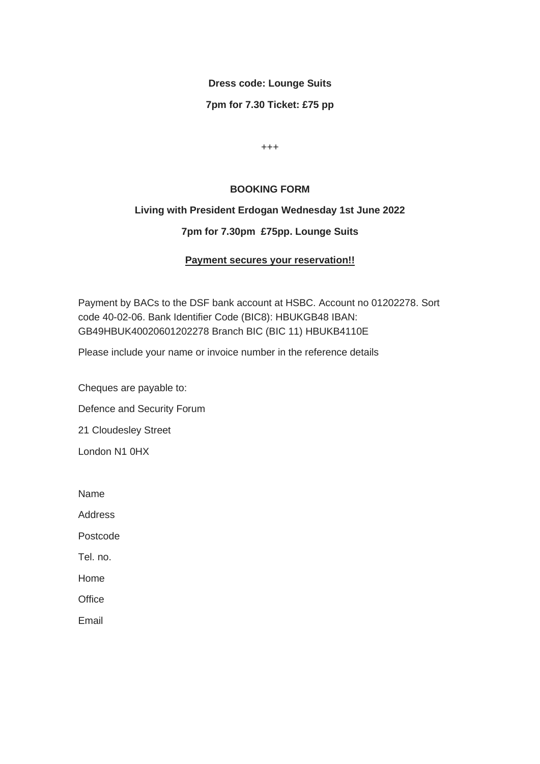# **Dress code: Lounge Suits**

## **7pm for 7.30 Ticket: £75 pp**

+++

### **BOOKING FORM**

## **Living with President Erdogan Wednesday 1st June 2022**

## **7pm for 7.30pm £75pp. Lounge Suits**

## **Payment secures your reservation!!**

Payment by BACs to the DSF bank account at HSBC. Account no 01202278. Sort code 40-02-06. Bank Identifier Code (BIC8): HBUKGB48 IBAN: GB49HBUK40020601202278 Branch BIC (BIC 11) HBUKB4110E

Please include your name or invoice number in the reference details

Cheques are payable to: Defence and Security Forum 21 Cloudesley Street London N1 0HX

Name

**Address** 

Postcode

Tel. no.

Home

**Office** 

Email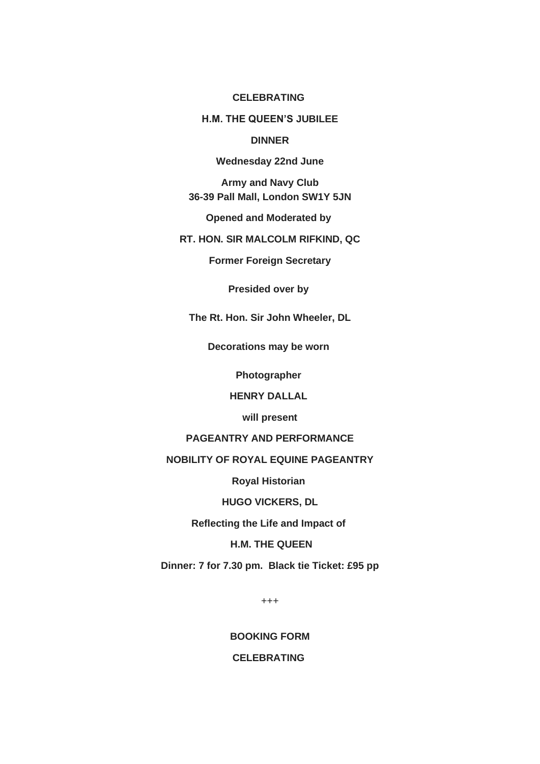#### **CELEBRATING**

### **H.M. THE QUEEN'S JUBILEE**

### **DINNER**

#### **Wednesday 22nd June**

**Army and Navy Club 36-39 Pall Mall, London SW1Y 5JN**

**Opened and Moderated by**

**RT. HON. SIR MALCOLM RIFKIND, QC**

**Former Foreign Secretary**

**Presided over by**

**The Rt. Hon. Sir John Wheeler, DL**

**Decorations may be worn**

**Photographer**

**HENRY DALLAL**

**will present**

## **PAGEANTRY AND PERFORMANCE**

#### **NOBILITY OF ROYAL EQUINE PAGEANTRY**

**Royal Historian**

**HUGO VICKERS, DL**

**Reflecting the Life and Impact of**

# **H.M. THE QUEEN**

**Dinner: 7 for 7.30 pm. Black tie Ticket: £95 pp**

+++

**BOOKING FORM**

# **CELEBRATING**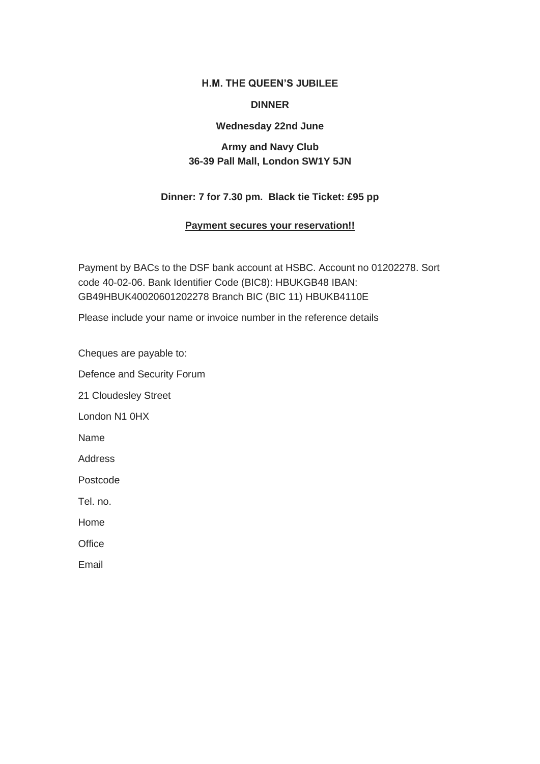#### **H.M. THE QUEEN'S JUBILEE**

#### **DINNER**

### **Wednesday 22nd June**

# **Army and Navy Club 36-39 Pall Mall, London SW1Y 5JN**

# **Dinner: 7 for 7.30 pm. Black tie Ticket: £95 pp**

#### **Payment secures your reservation!!**

Payment by BACs to the DSF bank account at HSBC. Account no 01202278. Sort code 40-02-06. Bank Identifier Code (BIC8): HBUKGB48 IBAN: GB49HBUK40020601202278 Branch BIC (BIC 11) HBUKB4110E

Please include your name or invoice number in the reference details

Cheques are payable to:

Defence and Security Forum

21 Cloudesley Street

London N1 0HX

Name

Address

Postcode

Tel. no.

Home

**Office** 

Email